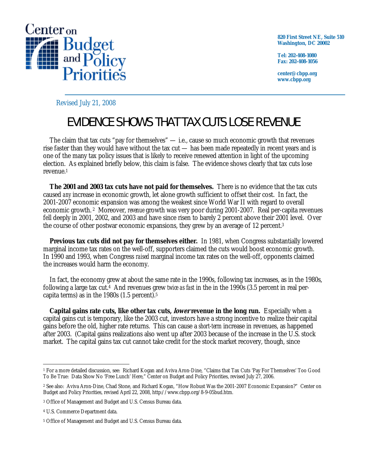

**820 First Street NE, Suite 510 Washington, DC 20002** 

**Tel: 202-408-1080 Fax: 202-408-1056** 

**center@cbpp.org www.cbpp.org** 

Revised July 21, 2008

## EVIDENCE SHOWS THAT TAX CUTS LOSE REVENUE

 The claim that tax cuts "pay for themselves" — i.e., cause so much economic growth that revenues rise faster than they would have without the tax cut — has been made repeatedly in recent years and is one of the many tax policy issues that is likely to receive renewed attention in light of the upcoming election. As explained briefly below, this claim is false. The evidence shows clearly that tax cuts lose revenue.1

 **The 2001 and 2003 tax cuts have not paid for themselves.** There is no evidence that the tax cuts caused *any* increase in economic growth, let alone growth sufficient to offset their cost. In fact, the 2001-2007 economic expansion was among the weakest since World War II with regard to overall economic growth. 2 Moreover, *revenue* growth was very poor during 2001-2007. Real per-capita revenues fell deeply in 2001, 2002, and 2003 and have since risen to barely 2 percent above their 2001 level. Over the course of other postwar economic expansions, they grew by an average of 12 percent.3

**Previous tax cuts did not pay for themselves either.** In 1981, when Congress substantially lowered marginal income tax rates on the well-off, supporters claimed the cuts would boost economic growth. In 1990 and 1993, when Congress *raised* marginal income tax rates on the well-off, opponents claimed the increases would harm the economy.

 In fact, the economy grew at about the same rate in the 1990s, following tax increases, as in the 1980s, following a large tax cut.4 And revenues grew *twice as fast* in the in the 1990s (3.5 percent in real percapita terms) as in the 1980s (1.5 percent).5

 **Capital gains rate cuts, like other tax cuts, lower revenue in the long run.** Especially when a capital gains cut is temporary, like the 2003 cut, investors have a strong incentive to realize their capital gains before the old, higher rate returns. This can cause a *short-term* increase in revenues, as happened after 2003. (Capital gains realizations also went up after 2003 because of the increase in the U.S. stock market. The capital gains tax cut cannot take credit for the stock market recovery, though, since

 $\overline{a}$ 1 For a more detailed discussion, see: Richard Kogan and Aviva Aron-Dine, "Claims that Tax Cuts 'Pay For Themselves' Too Good To Be True: Data Show No 'Free Lunch' Here," Center on Budget and Policy Priorities, revised July 27, 2006.

<sup>2</sup> See also: Aviva Aron-Dine, Chad Stone, and Richard Kogan, "How Robust Was the 2001-2007 Economic Expansion?" Center on Budget and Policy Priorities, revised April 22, 2008, http://www.cbpp.org/8-9-05bud.htm.

<sup>3</sup> Office of Management and Budget and U.S. Census Bureau data.

<sup>4</sup> U.S. Commerce Department data.

<sup>5</sup> Office of Management and Budget and U.S. Census Bureau data.